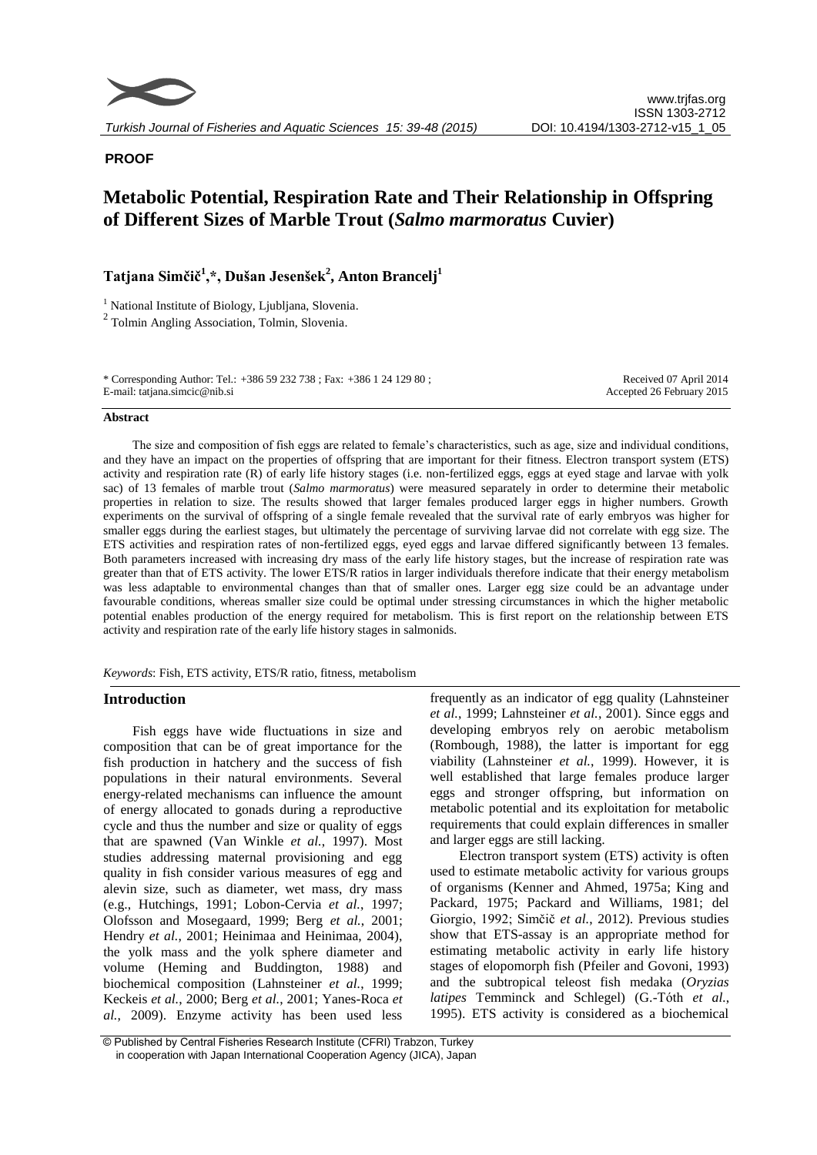

# **PROOF**

# **Metabolic Potential, Respiration Rate and Their Relationship in Offspring of Different Sizes of Marble Trout (***Salmo marmoratus* **Cuvier)**

**Tatjana Simčič<sup>1</sup> ,\*, Dušan Jesenšek<sup>2</sup> , Anton Brancelj<sup>1</sup>**

<sup>1</sup> National Institute of Biology, Ljubljana, Slovenia.

2 Tolmin Angling Association, Tolmin, Slovenia.

\* Corresponding Author: Tel.: +386 59 232 738 ; Fax: +386 1 24 129 80 ; E-mail: tatjana.simcic@nib.si

Received 07 April 2014 Accepted 26 February 2015

### **Abstract**

The size and composition of fish eggs are related to female's characteristics, such as age, size and individual conditions, and they have an impact on the properties of offspring that are important for their fitness. Electron transport system (ETS) activity and respiration rate (R) of early life history stages (i.e. non-fertilized eggs, eggs at eyed stage and larvae with yolk sac) of 13 females of marble trout (*Salmo marmoratus*) were measured separately in order to determine their metabolic properties in relation to size. The results showed that larger females produced larger eggs in higher numbers. Growth experiments on the survival of offspring of a single female revealed that the survival rate of early embryos was higher for smaller eggs during the earliest stages, but ultimately the percentage of surviving larvae did not correlate with egg size. The ETS activities and respiration rates of non-fertilized eggs, eyed eggs and larvae differed significantly between 13 females. Both parameters increased with increasing dry mass of the early life history stages, but the increase of respiration rate was greater than that of ETS activity. The lower ETS/R ratios in larger individuals therefore indicate that their energy metabolism was less adaptable to environmental changes than that of smaller ones. Larger egg size could be an advantage under favourable conditions, whereas smaller size could be optimal under stressing circumstances in which the higher metabolic potential enables production of the energy required for metabolism. This is first report on the relationship between ETS activity and respiration rate of the early life history stages in salmonids.

*Keywords*: Fish, ETS activity, ETS/R ratio, fitness, metabolism

## **Introduction**

Fish eggs have wide fluctuations in size and composition that can be of great importance for the fish production in hatchery and the success of fish populations in their natural environments. Several energy-related mechanisms can influence the amount of energy allocated to gonads during a reproductive cycle and thus the number and size or quality of eggs that are spawned (Van Winkle *et al.*, 1997). Most studies addressing maternal provisioning and egg quality in fish consider various measures of egg and alevin size, such as diameter, wet mass, dry mass (e.g., Hutchings, 1991; Lobon-Cervia *et al.*, 1997; Olofsson and Mosegaard, 1999; Berg *et al.*, 2001; Hendry *et al.*, 2001; Heinimaa and Heinimaa, 2004), the yolk mass and the yolk sphere diameter and volume (Heming and Buddington, 1988) and biochemical composition (Lahnsteiner *et al.*, 1999; Keckeis *et al.*, 2000; Berg *et al.*, 2001; Yanes-Roca *et al.*, 2009). Enzyme activity has been used less

frequently as an indicator of egg quality (Lahnsteiner *et al.*, 1999; Lahnsteiner *et al.*, 2001). Since eggs and developing embryos rely on aerobic metabolism (Rombough, 1988), the latter is important for egg viability (Lahnsteiner *et al.*, 1999). However, it is well established that large females produce larger eggs and stronger offspring, but information on metabolic potential and its exploitation for metabolic requirements that could explain differences in smaller and larger eggs are still lacking.

Electron transport system (ETS) activity is often used to estimate metabolic activity for various groups of organisms (Kenner and Ahmed, 1975a; King and Packard, 1975; Packard and Williams, 1981; del Giorgio, 1992; Simčič *et al.*, 2012). Previous studies show that ETS-assay is an appropriate method for estimating metabolic activity in early life history stages of elopomorph fish (Pfeiler and Govoni, 1993) and the subtropical teleost fish medaka (*Oryzias latipes* Temminck and Schlegel) (G.-Tóth *et al.*, 1995). ETS activity is considered as a biochemical

<sup>©</sup> Published by Central Fisheries Research Institute (CFRI) Trabzon, Turkey in cooperation with Japan International Cooperation Agency (JICA), Japan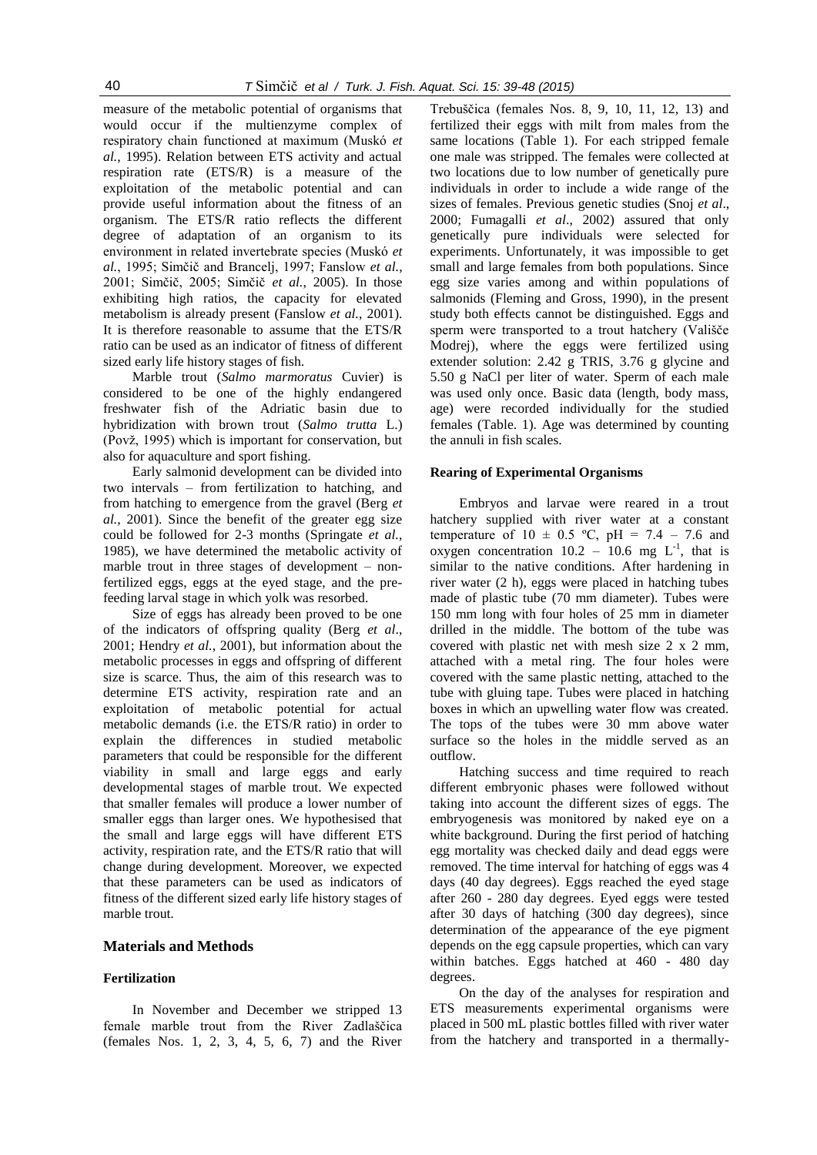measure of the metabolic potential of organisms that would occur if the multienzyme complex of respiratory chain functioned at maximum (Muskó *et al.*, 1995). Relation between ETS activity and actual respiration rate (ETS/R) is a measure of the exploitation of the metabolic potential and can provide useful information about the fitness of an organism. The ETS/R ratio reflects the different degree of adaptation of an organism to its environment in related invertebrate species (Muskó *et al.*, 1995; Simčič and Brancelj, 1997; Fanslow *et al.*, 2001; Simčič, 2005; Simčič *et al.*, 2005). In those exhibiting high ratios, the capacity for elevated metabolism is already present (Fanslow *et al.*, 2001). It is therefore reasonable to assume that the ETS/R ratio can be used as an indicator of fitness of different sized early life history stages of fish.

Marble trout (*Salmo marmoratus* Cuvier) is considered to be one of the highly endangered freshwater fish of the Adriatic basin due to hybridization with brown trout (*Salmo trutta* L.) (Povž, 1995) which is important for conservation, but also for aquaculture and sport fishing.

Early salmonid development can be divided into two intervals – from fertilization to hatching, and from hatching to emergence from the gravel (Berg *et al.*, 2001). Since the benefit of the greater egg size could be followed for 2-3 months (Springate *et al.*, 1985), we have determined the metabolic activity of marble trout in three stages of development – nonfertilized eggs, eggs at the eyed stage, and the prefeeding larval stage in which yolk was resorbed.

Size of eggs has already been proved to be one of the indicators of offspring quality (Berg *et al*., 2001; Hendry *et al.*, 2001), but information about the metabolic processes in eggs and offspring of different size is scarce. Thus, the aim of this research was to determine ETS activity, respiration rate and an exploitation of metabolic potential for actual metabolic demands (i.e. the ETS/R ratio) in order to explain the differences in studied metabolic parameters that could be responsible for the different viability in small and large eggs and early developmental stages of marble trout. We expected that smaller females will produce a lower number of smaller eggs than larger ones. We hypothesised that the small and large eggs will have different ETS activity, respiration rate, and the ETS/R ratio that will change during development. Moreover, we expected that these parameters can be used as indicators of fitness of the different sized early life history stages of marble trout.

### **Materials and Methods**

### **Fertilization**

In November and December we stripped 13 female marble trout from the River Zadlaščica (females Nos. 1, 2, 3, 4, 5, 6, 7) and the River

Trebuščica (females Nos. 8, 9, 10, 11, 12, 13) and fertilized their eggs with milt from males from the same locations (Table 1). For each stripped female one male was stripped. The females were collected at two locations due to low number of genetically pure individuals in order to include a wide range of the sizes of females. Previous genetic studies (Snoj *et al*., 2000; Fumagalli *et al*., 2002) assured that only genetically pure individuals were selected for experiments. Unfortunately, it was impossible to get small and large females from both populations. Since egg size varies among and within populations of salmonids (Fleming and Gross, 1990), in the present study both effects cannot be distinguished. Eggs and sperm were transported to a trout hatchery (Vališče Modrej), where the eggs were fertilized using extender solution: 2.42 g TRIS, 3.76 g glycine and 5.50 g NaCl per liter of water. Sperm of each male was used only once. Basic data (length, body mass, age) were recorded individually for the studied females (Table. 1). Age was determined by counting the annuli in fish scales.

### **Rearing of Experimental Organisms**

Embryos and larvae were reared in a trout hatchery supplied with river water at a constant temperature of  $10 \pm 0.5$  °C, pH = 7.4 – 7.6 and oxygen concentration  $10.2 - 10.6$  mg  $L^{-1}$ , that is similar to the native conditions. After hardening in river water (2 h), eggs were placed in hatching tubes made of plastic tube (70 mm diameter). Tubes were 150 mm long with four holes of 25 mm in diameter drilled in the middle. The bottom of the tube was covered with plastic net with mesh size 2 x 2 mm, attached with a metal ring. The four holes were covered with the same plastic netting, attached to the tube with gluing tape. Tubes were placed in hatching boxes in which an upwelling water flow was created. The tops of the tubes were 30 mm above water surface so the holes in the middle served as an outflow.

Hatching success and time required to reach different embryonic phases were followed without taking into account the different sizes of eggs. The embryogenesis was monitored by naked eye on a white background. During the first period of hatching egg mortality was checked daily and dead eggs were removed. The time interval for hatching of eggs was 4 days (40 day degrees). Eggs reached the eyed stage after 260 - 280 day degrees. Eyed eggs were tested after 30 days of hatching (300 day degrees), since determination of the appearance of the eye pigment depends on the egg capsule properties, which can vary within batches. Eggs hatched at 460 - 480 day degrees.

On the day of the analyses for respiration and ETS measurements experimental organisms were placed in 500 mL plastic bottles filled with river water from the hatchery and transported in a thermally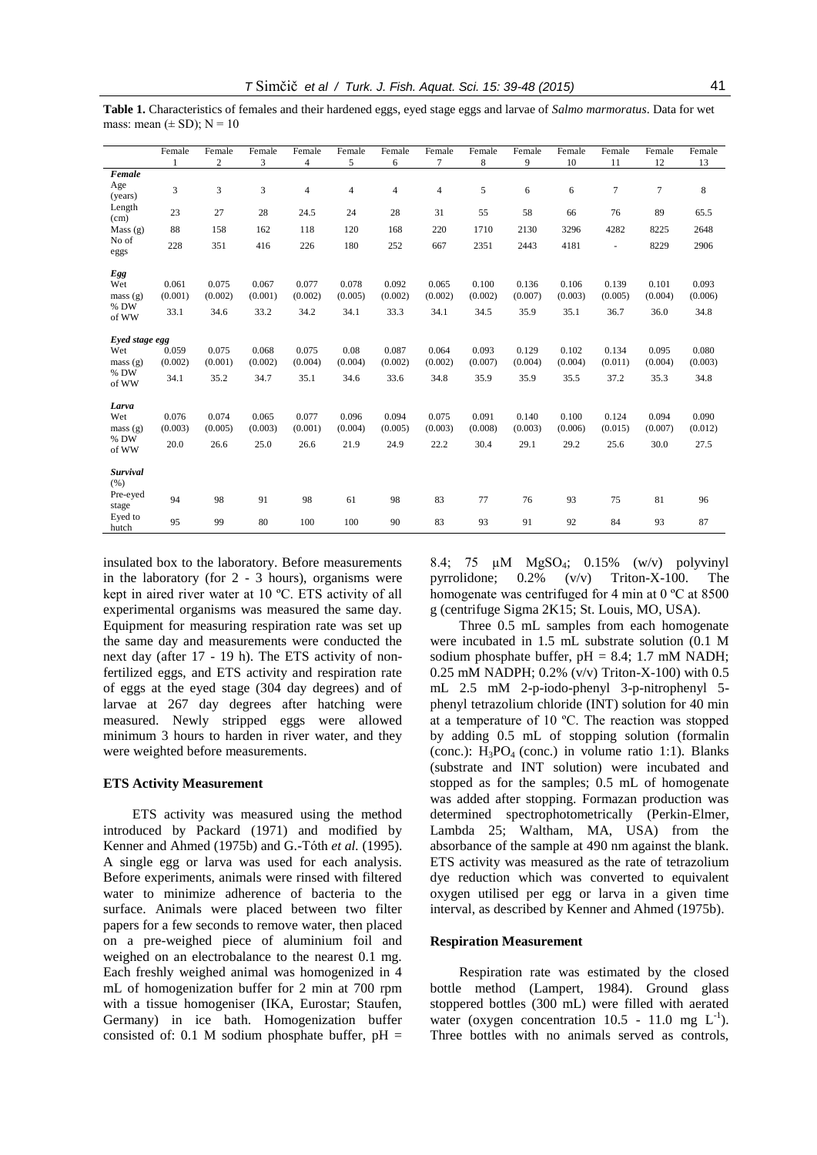**Table 1.** Characteristics of females and their hardened eggs, eyed stage eggs and larvae of *Salmo marmoratus*. Data for wet mass: mean  $(\pm SD)$ ; N = 10

|                                            | Female                   | Female<br>$\overline{c}$ | Female                   | Female                   | Female<br>5              | Female                   | Female                   | Female<br>8              | Female<br>9              | Female<br>10             | Female<br>11             | Female<br>12             | Female<br>13             |
|--------------------------------------------|--------------------------|--------------------------|--------------------------|--------------------------|--------------------------|--------------------------|--------------------------|--------------------------|--------------------------|--------------------------|--------------------------|--------------------------|--------------------------|
|                                            |                          |                          | 3                        | $\overline{4}$           |                          | 6                        | 7                        |                          |                          |                          |                          |                          |                          |
| Female<br>Age<br>(years)<br>Length<br>(cm) | 3                        | 3                        | 3                        | $\overline{4}$           | $\overline{4}$           | 4                        | 4                        | 5                        | 6                        | 6                        | $\tau$                   | $\tau$                   | 8                        |
|                                            | 23                       | 27                       | 28                       | 24.5                     | 24                       | 28                       | 31                       | 55                       | 58                       | 66                       | 76                       | 89                       | 65.5                     |
| Mass(g)                                    | 88                       | 158                      | 162                      | 118                      | 120                      | 168                      | 220                      | 1710                     | 2130                     | 3296                     | 4282                     | 8225                     | 2648                     |
| No of<br>eggs                              | 228                      | 351                      | 416                      | 226                      | 180                      | 252                      | 667                      | 2351                     | 2443                     | 4181                     | $\blacksquare$           | 8229                     | 2906                     |
| Egg<br>Wet<br>mass(g)<br>% DW<br>of WW     | 0.061<br>(0.001)<br>33.1 | 0.075<br>(0.002)<br>34.6 | 0.067<br>(0.001)<br>33.2 | 0.077<br>(0.002)<br>34.2 | 0.078<br>(0.005)<br>34.1 | 0.092<br>(0.002)<br>33.3 | 0.065<br>(0.002)<br>34.1 | 0.100<br>(0.002)<br>34.5 | 0.136<br>(0.007)<br>35.9 | 0.106<br>(0.003)<br>35.1 | 0.139<br>(0.005)<br>36.7 | 0.101<br>(0.004)<br>36.0 | 0.093<br>(0.006)<br>34.8 |
| Eyed stage egg                             |                          |                          |                          |                          |                          |                          |                          |                          |                          |                          |                          |                          |                          |
| Wet                                        | 0.059                    | 0.075                    | 0.068                    | 0.075                    | 0.08                     | 0.087                    | 0.064                    | 0.093                    | 0.129                    | 0.102                    | 0.134                    | 0.095                    | 0.080                    |
| mass(g)                                    | (0.002)                  | (0.001)                  | (0.002)                  | (0.004)                  | (0.004)                  | (0.002)                  | (0.002)                  | (0.007)                  | (0.004)                  | (0.004)                  | (0.011)                  | (0.004)                  | (0.003)                  |
| % DW<br>of WW                              | 34.1                     | 35.2                     | 34.7                     | 35.1                     | 34.6                     | 33.6                     | 34.8                     | 35.9                     | 35.9                     | 35.5                     | 37.2                     | 35.3                     | 34.8                     |
| Larva                                      |                          |                          |                          |                          |                          |                          |                          |                          |                          |                          |                          |                          |                          |
| Wet                                        | 0.076<br>(0.003)         | 0.074<br>(0.005)         | 0.065<br>(0.003)         | 0.077<br>(0.001)         | 0.096<br>(0.004)         | 0.094<br>(0.005)         | 0.075<br>(0.003)         | 0.091<br>(0.008)         | 0.140<br>(0.003)         | 0.100<br>(0.006)         | 0.124<br>(0.015)         | 0.094<br>(0.007)         | 0.090<br>(0.012)         |
| mass(g)<br>% DW                            |                          |                          |                          |                          |                          |                          |                          |                          |                          |                          |                          |                          |                          |
| of WW                                      | 20.0                     | 26.6                     | 25.0                     | 26.6                     | 21.9                     | 24.9                     | 22.2                     | 30.4                     | 29.1                     | 29.2                     | 25.6                     | 30.0                     | 27.5                     |
| <b>Survival</b><br>(% )                    |                          |                          |                          |                          |                          |                          |                          |                          |                          |                          |                          |                          |                          |
| Pre-eyed<br>stage                          | 94                       | 98                       | 91                       | 98                       | 61                       | 98                       | 83                       | 77                       | 76                       | 93                       | 75                       | 81                       | 96                       |
| Eyed to<br>hutch                           | 95                       | 99                       | 80                       | 100                      | 100                      | 90                       | 83                       | 93                       | 91                       | 92                       | 84                       | 93                       | 87                       |

insulated box to the laboratory. Before measurements in the laboratory (for 2 - 3 hours), organisms were kept in aired river water at 10 ºC. ETS activity of all experimental organisms was measured the same day. Equipment for measuring respiration rate was set up the same day and measurements were conducted the next day (after 17 - 19 h). The ETS activity of nonfertilized eggs, and ETS activity and respiration rate of eggs at the eyed stage (304 day degrees) and of larvae at 267 day degrees after hatching were measured. Newly stripped eggs were allowed minimum 3 hours to harden in river water, and they were weighted before measurements.

#### **ETS Activity Measurement**

ETS activity was measured using the method introduced by Packard (1971) and modified by Kenner and Ahmed (1975b) and G.-Tóth *et al.* (1995). A single egg or larva was used for each analysis. Before experiments, animals were rinsed with filtered water to minimize adherence of bacteria to the surface. Animals were placed between two filter papers for a few seconds to remove water, then placed on a pre-weighed piece of aluminium foil and weighed on an electrobalance to the nearest 0.1 mg. Each freshly weighed animal was homogenized in 4 mL of homogenization buffer for 2 min at 700 rpm with a tissue homogeniser (IKA, Eurostar; Staufen, Germany) in ice bath. Homogenization buffer consisted of: 0.1 M sodium phosphate buffer,  $pH =$  8.4; 75 µM MgSO4; 0.15% (w/v) polyvinyl pyrrolidone; 0.2% (v/v) Triton-X-100. The homogenate was centrifuged for 4 min at  $0^{\circ}$ C at 8500 g (centrifuge Sigma 2K15; St. Louis, MO, USA).

Three 0.5 mL samples from each homogenate were incubated in 1.5 mL substrate solution (0.1 M sodium phosphate buffer, pH = 8.4; 1.7 mM NADH; 0.25 mM NADPH; 0.2% (v/v) Triton-X-100) with 0.5 mL 2.5 mM 2-p-iodo-phenyl 3-p-nitrophenyl 5 phenyl tetrazolium chloride (INT) solution for 40 min at a temperature of 10 ºC. The reaction was stopped by adding 0.5 mL of stopping solution (formalin (conc.):  $H_3PO_4$  (conc.) in volume ratio 1:1). Blanks (substrate and INT solution) were incubated and stopped as for the samples; 0.5 mL of homogenate was added after stopping. Formazan production was determined spectrophotometrically (Perkin-Elmer, Lambda 25; Waltham, MA, USA) from the absorbance of the sample at 490 nm against the blank. ETS activity was measured as the rate of tetrazolium dye reduction which was converted to equivalent oxygen utilised per egg or larva in a given time interval, as described by Kenner and Ahmed (1975b).

### **Respiration Measurement**

Respiration rate was estimated by the closed bottle method (Lampert, 1984). Ground glass stoppered bottles (300 mL) were filled with aerated water (oxygen concentration  $10.5 - 11.0$  mg  $L^{-1}$ ). Three bottles with no animals served as controls,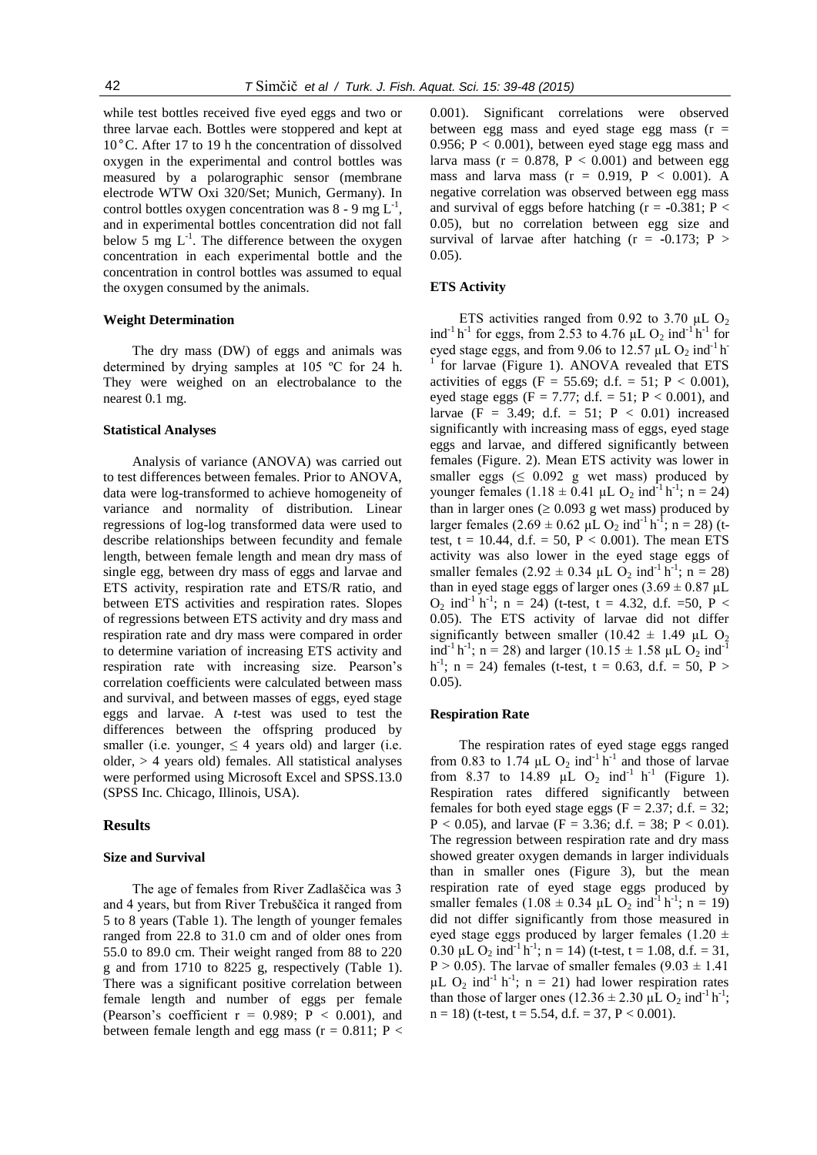while test bottles received five eyed eggs and two or three larvae each. Bottles were stoppered and kept at 10°C. After 17 to 19 h the concentration of dissolved oxygen in the experimental and control bottles was measured by a polarographic sensor (membrane electrode WTW Oxi 320/Set; Munich, Germany). In control bottles oxygen concentration was  $8 - 9$  mg  $L^{-1}$ , and in experimental bottles concentration did not fall below 5 mg  $L^{-1}$ . The difference between the oxygen concentration in each experimental bottle and the concentration in control bottles was assumed to equal the oxygen consumed by the animals.

### **Weight Determination**

The dry mass (DW) of eggs and animals was determined by drying samples at 105 ºC for 24 h. They were weighed on an electrobalance to the nearest 0.1 mg.

### **Statistical Analyses**

Analysis of variance (ANOVA) was carried out to test differences between females. Prior to ANOVA, data were log-transformed to achieve homogeneity of variance and normality of distribution. Linear regressions of log-log transformed data were used to describe relationships between fecundity and female length, between female length and mean dry mass of single egg, between dry mass of eggs and larvae and ETS activity, respiration rate and ETS/R ratio, and between ETS activities and respiration rates. Slopes of regressions between ETS activity and dry mass and respiration rate and dry mass were compared in order to determine variation of increasing ETS activity and respiration rate with increasing size. Pearson's correlation coefficients were calculated between mass and survival, and between masses of eggs, eyed stage eggs and larvae. A *t*-test was used to test the differences between the offspring produced by smaller (i.e. younger,  $\leq 4$  years old) and larger (i.e. older, > 4 years old) females. All statistical analyses were performed using Microsoft Excel and SPSS.13.0 (SPSS Inc. Chicago, Illinois, USA).

### **Results**

#### **Size and Survival**

The age of females from River Zadlaščica was 3 and 4 years, but from River Trebuščica it ranged from 5 to 8 years (Table 1). The length of younger females ranged from 22.8 to 31.0 cm and of older ones from 55.0 to 89.0 cm. Their weight ranged from 88 to 220 g and from 1710 to 8225 g, respectively (Table 1). There was a significant positive correlation between female length and number of eggs per female (Pearson's coefficient  $r = 0.989$ ;  $P < 0.001$ ), and between female length and egg mass ( $r = 0.811$ ; P <

0.001). Significant correlations were observed between egg mass and eyed stage egg mass  $(r =$ 0.956;  $P < 0.001$ ), between eyed stage egg mass and larva mass ( $r = 0.878$ ,  $P < 0.001$ ) and between egg mass and larva mass  $(r = 0.919, P < 0.001)$ . A negative correlation was observed between egg mass and survival of eggs before hatching  $(r = -0.381; P <$ 0.05), but no correlation between egg size and survival of larvae after hatching  $(r = -0.173; P >$ 0.05).

## **ETS Activity**

ETS activities ranged from 0.92 to 3.70  $\mu$ L O<sub>2</sub> ind<sup>-1</sup> h<sup>-1</sup> for eggs, from 2.53 to 4.76  $\mu$ L O<sub>2</sub> ind<sup>-1</sup> h<sup>-1</sup> for eyed stage eggs, and from 9.06 to 12.57 µL  $O_2$  ind<sup>-1</sup> h 1 for larvae (Figure 1). ANOVA revealed that ETS activities of eggs (F = 55.69; d.f. = 51; P < 0.001), eyed stage eggs (F = 7.77; d.f. = 51; P < 0.001), and larvae (F = 3.49; d.f. = 51;  $P < 0.01$ ) increased significantly with increasing mass of eggs, eyed stage eggs and larvae, and differed significantly between females (Figure. 2). Mean ETS activity was lower in smaller eggs  $( \leq 0.092 \text{ g wet mass})$  produced by younger females  $(1.18 \pm 0.41 \,\mu L \, O_2 \text{ ind}^2 h^{-1}; n = 24)$ than in larger ones ( $\geq 0.093$  g wet mass) produced by larger females  $(2.69 \pm 0.62 \mu L O_2 \text{ ind}^{-1} h^{-1}$ ; n = 28) (ttest,  $t = 10.44$ , d.f. = 50,  $P < 0.001$ ). The mean ETS activity was also lower in the eyed stage eggs of smaller females  $(2.92 \pm 0.34 \mu L \cdot O_2 \text{ ind}^{-1} h^{-1}; n = 28)$ than in eyed stage eggs of larger ones  $(3.69 \pm 0.87 \,\mu L)$  $O_2$  ind<sup>-1</sup> h<sup>-1</sup>; n = 24) (t-test, t = 4.32, d.f. = 50, P < 0.05). The ETS activity of larvae did not differ significantly between smaller (10.42  $\pm$  1.49 µL O<sub>2</sub> ind<sup>-1</sup> h<sup>-1</sup>; n = 28) and larger (10.15  $\pm$  1.58 µL O<sub>2</sub> ind<sup>-1</sup> h<sup>-1</sup>; n = 24) females (t-test, t = 0.63, d.f. = 50, P > 0.05).

### **Respiration Rate**

The respiration rates of eyed stage eggs ranged from 0.83 to 1.74  $\mu$ L O<sub>2</sub> ind<sup>-1</sup> h<sup>-1</sup> and those of larvae from 8.37 to 14.89  $\mu L$  O<sub>2</sub> ind<sup>-1</sup> h<sup>-1</sup> (Figure 1). Respiration rates differed significantly between females for both eyed stage eggs ( $F = 2.37$ ; d.f. = 32;  $P < 0.05$ ), and larvae (F = 3.36; d.f. = 38; P < 0.01). The regression between respiration rate and dry mass showed greater oxygen demands in larger individuals than in smaller ones (Figure 3), but the mean respiration rate of eyed stage eggs produced by smaller females  $(1.08 \pm 0.34 \mu L O_2 \text{ ind}^{-1} h^{-1}$ ; n = 19) did not differ significantly from those measured in eyed stage eggs produced by larger females  $(1.20 \pm$ 0.30 µL  $O_2$  ind<sup>-1</sup> h<sup>-1</sup>; n = 14) (t-test, t = 1.08, d.f. = 31,  $P > 0.05$ ). The larvae of smaller females  $(9.03 \pm 1.41)$  $\mu$ L O<sub>2</sub> ind<sup>-1</sup> h<sup>-1</sup>; n = 21) had lower respiration rates than those of larger ones  $(12.36 \pm 2.30 \mu L O_2 \text{ ind}^{-1} h^{-1})$ ;  $n = 18$ ) (t-test, t = 5.54, d.f. = 37, P < 0.001).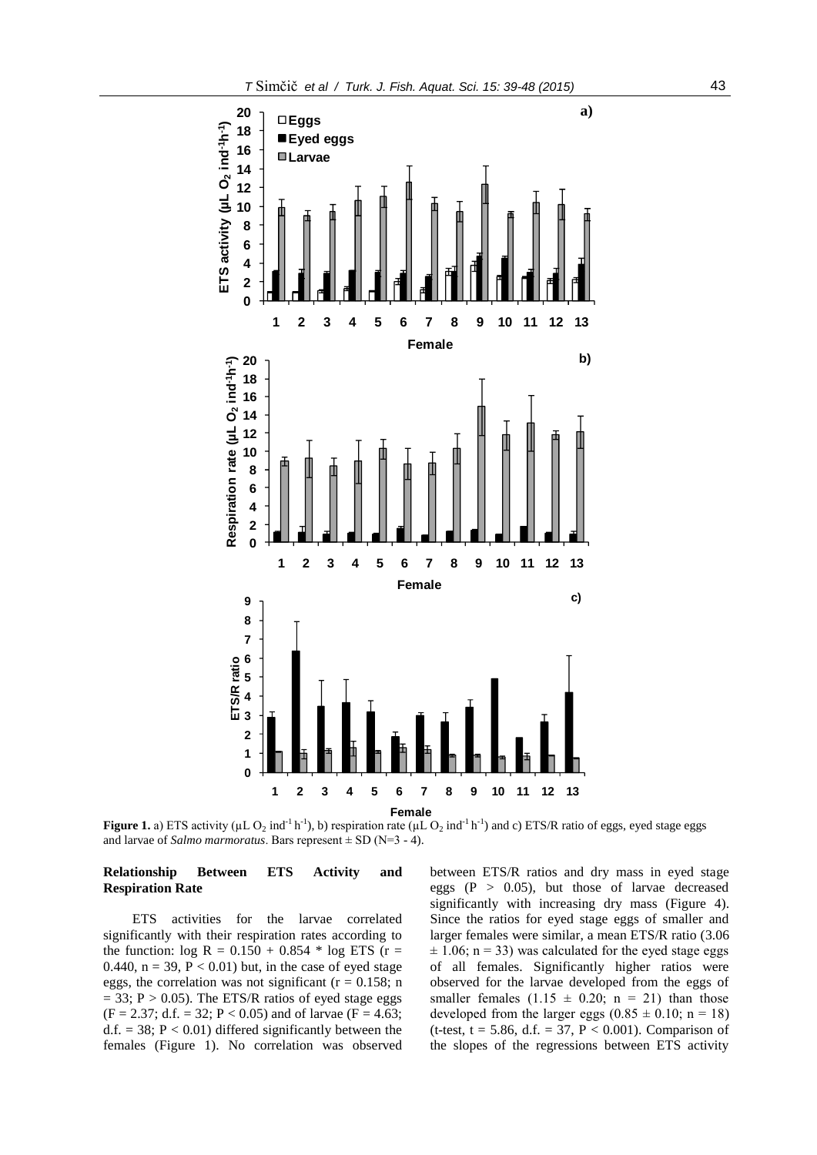

**Figure 1.** a) ETS activity ( $\mu$ L O<sub>2</sub> ind<sup>-1</sup> h<sup>-1</sup>), b) respiration rate ( $\mu$ L O<sub>2</sub> ind<sup>-1</sup> h<sup>-1</sup>) and c) ETS/R ratio of eggs, eyed stage eggs and larvae of *Salmo marmoratus*. Bars represent  $\pm$  SD (N=3 - 4).

### **Relationship Between ETS Activity and Respiration Rate**

ETS activities for the larvae correlated significantly with their respiration rates according to the function:  $log R = 0.150 + 0.854 * log ETS$  (r = 0.440,  $n = 39$ ,  $P < 0.01$ ) but, in the case of eyed stage eggs, the correlation was not significant ( $r = 0.158$ ; n  $= 33$ ; P  $> 0.05$ ). The ETS/R ratios of eyed stage eggs  $(F = 2.37; d.f. = 32; P < 0.05)$  and of larvae  $(F = 4.63;$ d.f.  $= 38$ ;  $P < 0.01$ ) differed significantly between the females (Figure 1). No correlation was observed

between ETS/R ratios and dry mass in eyed stage eggs  $(P > 0.05)$ , but those of larvae decreased significantly with increasing dry mass (Figure 4). Since the ratios for eyed stage eggs of smaller and larger females were similar, a mean ETS/R ratio (3.06  $\pm$  1.06; n = 33) was calculated for the eyed stage eggs of all females. Significantly higher ratios were observed for the larvae developed from the eggs of smaller females  $(1.15 \pm 0.20; n = 21)$  than those developed from the larger eggs  $(0.85 \pm 0.10; n = 18)$ (t-test,  $t = 5.86$ , d.f. = 37, P < 0.001). Comparison of the slopes of the regressions between ETS activity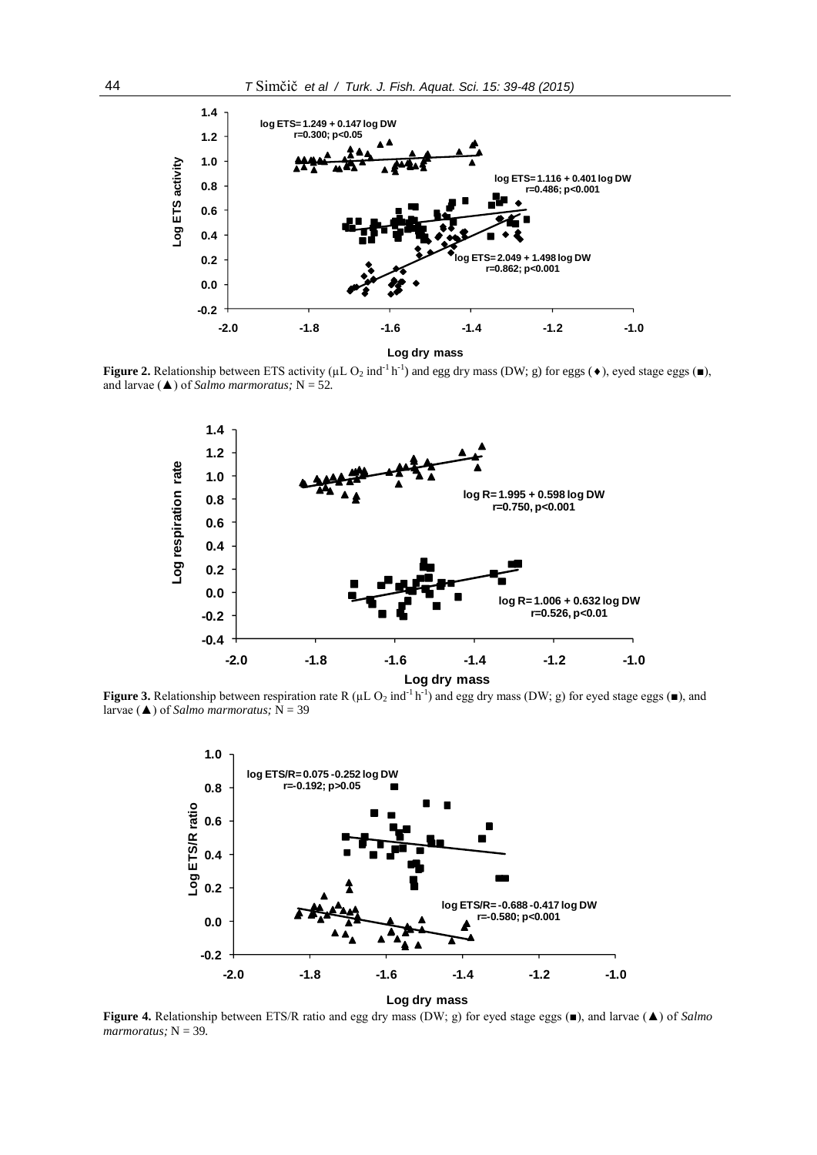

**Figure 2.** Relationship between ETS activity ( $\mu$ L O<sub>2</sub> ind<sup>-1</sup> h<sup>-1</sup>) and egg dry mass (DW; g) for eggs ( $\bullet$ ), eyed stage eggs ( $\bullet$ ), and larvae ( $\triangle$ ) of *Salmo marmoratus*; N = 52.



**Figure 3.** Relationship between respiration rate R ( $\mu$ L O<sub>2</sub> ind<sup>-1</sup> h<sup>-1</sup>) and egg dry mass (DW; g) for eyed stage eggs ( $\blacksquare$ ), and larvae (▲) of *Salmo marmoratus;* N = 39



**Figure 4.** Relationship between ETS/R ratio and egg dry mass (DW; g) for eyed stage eggs (■), and larvae (▲) of *Salmo*   $$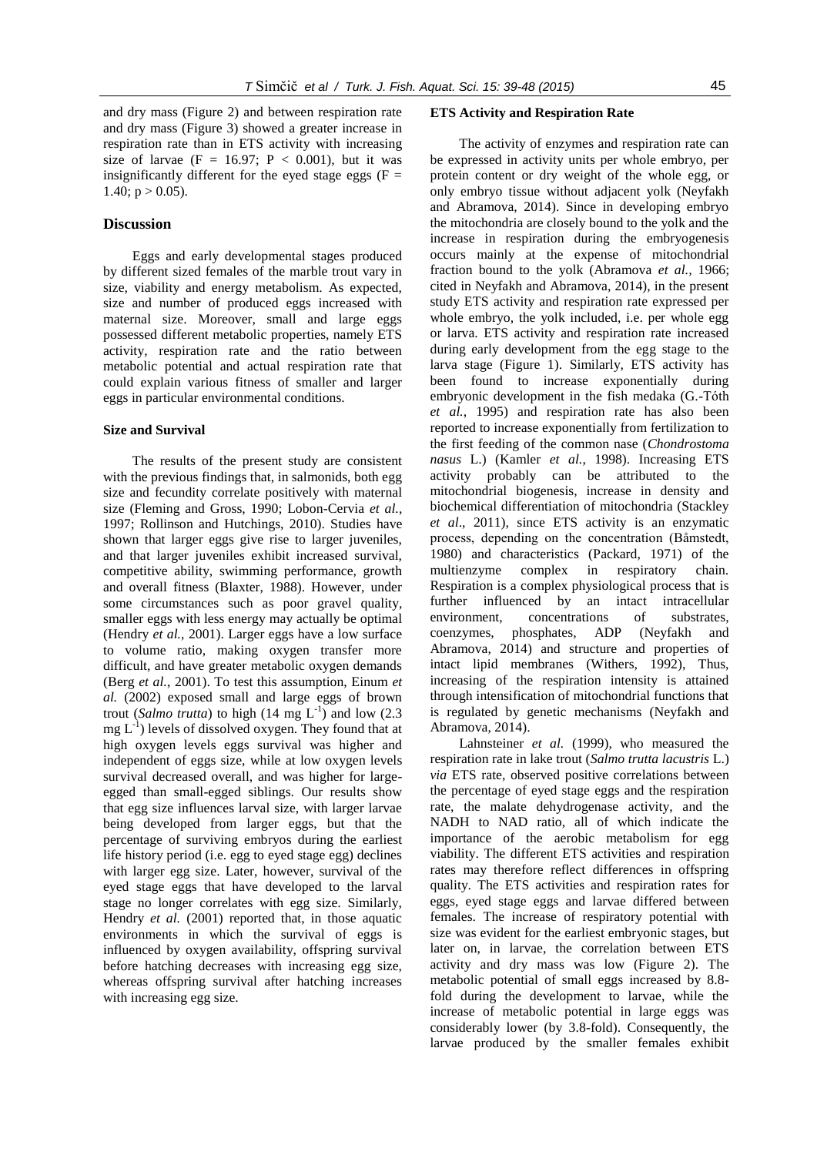# **Discussion**

Eggs and early developmental stages produced by different sized females of the marble trout vary in size, viability and energy metabolism. As expected, size and number of produced eggs increased with maternal size. Moreover, small and large eggs possessed different metabolic properties, namely ETS activity, respiration rate and the ratio between metabolic potential and actual respiration rate that could explain various fitness of smaller and larger eggs in particular environmental conditions.

### **Size and Survival**

The results of the present study are consistent with the previous findings that, in salmonids, both egg size and fecundity correlate positively with maternal size (Fleming and Gross, 1990; Lobon-Cervia *et al.*, 1997; Rollinson and Hutchings, 2010). Studies have shown that larger eggs give rise to larger juveniles, and that larger juveniles exhibit increased survival, competitive ability, swimming performance, growth and overall fitness (Blaxter, 1988). However, under some circumstances such as poor gravel quality, smaller eggs with less energy may actually be optimal (Hendry *et al.*, 2001). Larger eggs have a low surface to volume ratio, making oxygen transfer more difficult, and have greater metabolic oxygen demands (Berg *et al.*, 2001). To test this assumption, Einum *et al.* (2002) exposed small and large eggs of brown trout (*Salmo trutta*) to high  $(14 \text{ mg } L^{-1})$  and low  $(2.3 \text{ m})$  $mg L^{-1}$ ) levels of dissolved oxygen. They found that at high oxygen levels eggs survival was higher and independent of eggs size, while at low oxygen levels survival decreased overall, and was higher for largeegged than small-egged siblings. Our results show that egg size influences larval size, with larger larvae being developed from larger eggs, but that the percentage of surviving embryos during the earliest life history period (i.e. egg to eyed stage egg) declines with larger egg size. Later, however, survival of the eyed stage eggs that have developed to the larval stage no longer correlates with egg size. Similarly, Hendry *et al.* (2001) reported that, in those aquatic environments in which the survival of eggs is influenced by oxygen availability, offspring survival before hatching decreases with increasing egg size, whereas offspring survival after hatching increases with increasing egg size.

The activity of enzymes and respiration rate can be expressed in activity units per whole embryo, per protein content or dry weight of the whole egg, or only embryo tissue without adjacent yolk (Neyfakh and Abramova, 2014). Since in developing embryo the mitochondria are closely bound to the yolk and the increase in respiration during the embryogenesis occurs mainly at the expense of mitochondrial fraction bound to the yolk (Abramova *et al.,* 1966; cited in Neyfakh and Abramova, 2014), in the present study ETS activity and respiration rate expressed per whole embryo, the yolk included, i.e. per whole egg or larva. ETS activity and respiration rate increased during early development from the egg stage to the larva stage (Figure 1). Similarly, ETS activity has been found to increase exponentially during embryonic development in the fish medaka (G.-Tóth *et al.*, 1995) and respiration rate has also been reported to increase exponentially from fertilization to the first feeding of the common nase (*Chondrostoma nasus* L.) (Kamler *et al.*, 1998). Increasing ETS activity probably can be attributed to the mitochondrial biogenesis, increase in density and biochemical differentiation of mitochondria (Stackley *et al*., 2011), since ETS activity is an enzymatic process, depending on the concentration (Båmstedt, 1980) and characteristics (Packard, 1971) of the multienzyme complex in respiratory chain. Respiration is a complex physiological process that is further influenced by an intact intracellular environment, concentrations of substrates, coenzymes, phosphates, ADP (Neyfakh and Abramova, 2014) and structure and properties of intact lipid membranes (Withers, 1992), Thus, increasing of the respiration intensity is attained through intensification of mitochondrial functions that is regulated by genetic mechanisms (Neyfakh and Abramova, 2014).

Lahnsteiner *et al.* (1999), who measured the respiration rate in lake trout (*Salmo trutta lacustris* L.) *via* ETS rate, observed positive correlations between the percentage of eyed stage eggs and the respiration rate, the malate dehydrogenase activity, and the NADH to NAD ratio, all of which indicate the importance of the aerobic metabolism for egg viability. The different ETS activities and respiration rates may therefore reflect differences in offspring quality. The ETS activities and respiration rates for eggs, eyed stage eggs and larvae differed between females. The increase of respiratory potential with size was evident for the earliest embryonic stages, but later on, in larvae, the correlation between ETS activity and dry mass was low (Figure 2). The metabolic potential of small eggs increased by 8.8 fold during the development to larvae, while the increase of metabolic potential in large eggs was considerably lower (by 3.8-fold). Consequently, the larvae produced by the smaller females exhibit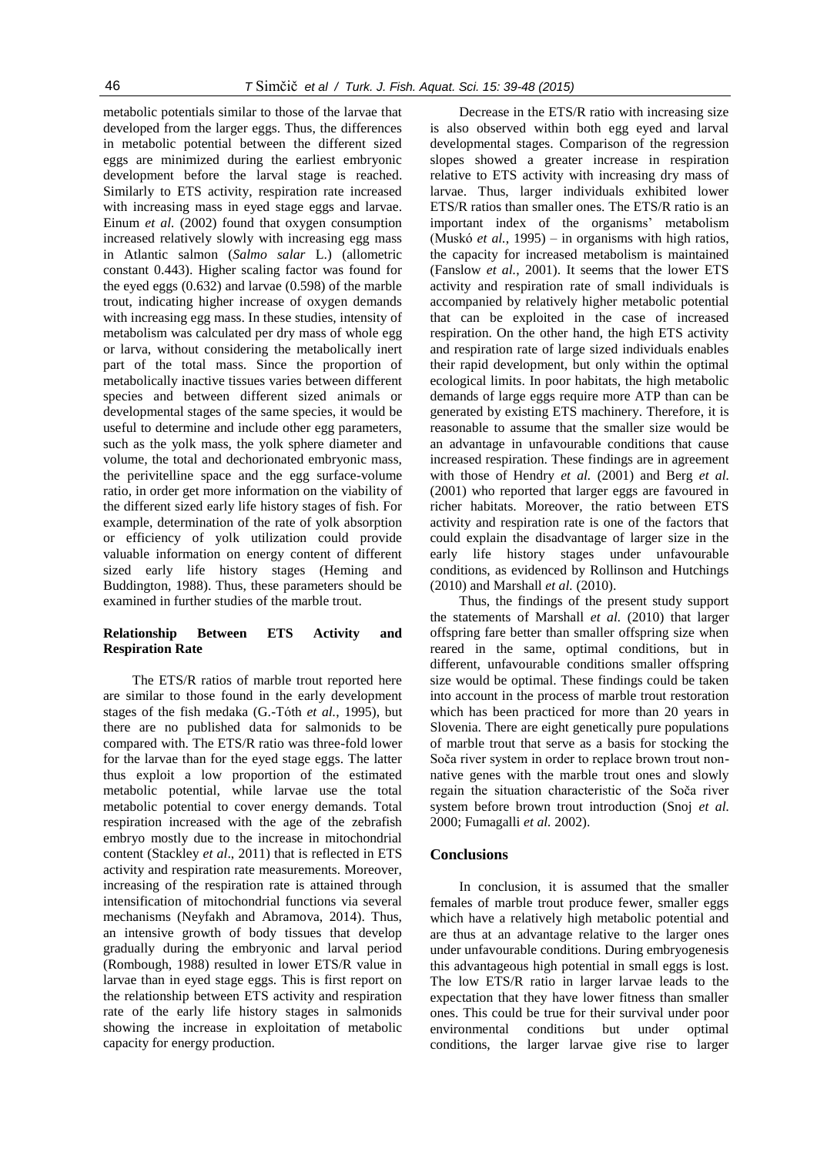metabolic potentials similar to those of the larvae that developed from the larger eggs. Thus, the differences in metabolic potential between the different sized eggs are minimized during the earliest embryonic development before the larval stage is reached. Similarly to ETS activity, respiration rate increased with increasing mass in eyed stage eggs and larvae. Einum *et al.* (2002) found that oxygen consumption increased relatively slowly with increasing egg mass in Atlantic salmon (*Salmo salar* L.) (allometric constant 0.443). Higher scaling factor was found for the eyed eggs (0.632) and larvae (0.598) of the marble trout, indicating higher increase of oxygen demands with increasing egg mass. In these studies, intensity of metabolism was calculated per dry mass of whole egg or larva, without considering the metabolically inert part of the total mass. Since the proportion of metabolically inactive tissues varies between different species and between different sized animals or developmental stages of the same species, it would be useful to determine and include other egg parameters, such as the yolk mass, the yolk sphere diameter and volume, the total and dechorionated embryonic mass, the perivitelline space and the egg surface-volume ratio, in order get more information on the viability of the different sized early life history stages of fish. For example, determination of the rate of yolk absorption or efficiency of yolk utilization could provide valuable information on energy content of different sized early life history stages (Heming and Buddington, 1988). Thus, these parameters should be examined in further studies of the marble trout.

# **Relationship Between ETS Activity and Respiration Rate**

The ETS/R ratios of marble trout reported here are similar to those found in the early development stages of the fish medaka (G.-Tóth *et al.*, 1995), but there are no published data for salmonids to be compared with. The ETS/R ratio was three-fold lower for the larvae than for the eyed stage eggs. The latter thus exploit a low proportion of the estimated metabolic potential, while larvae use the total metabolic potential to cover energy demands. Total respiration increased with the age of the zebrafish embryo mostly due to the increase in mitochondrial content (Stackley *et al*., 2011) that is reflected in ETS activity and respiration rate measurements. Moreover, increasing of the respiration rate is attained through intensification of mitochondrial functions via several mechanisms (Neyfakh and Abramova, 2014). Thus, an intensive growth of body tissues that develop gradually during the embryonic and larval period (Rombough, 1988) resulted in lower ETS/R value in larvae than in eyed stage eggs. This is first report on the relationship between ETS activity and respiration rate of the early life history stages in salmonids showing the increase in exploitation of metabolic capacity for energy production.

Decrease in the ETS/R ratio with increasing size is also observed within both egg eyed and larval developmental stages. Comparison of the regression slopes showed a greater increase in respiration relative to ETS activity with increasing dry mass of larvae. Thus, larger individuals exhibited lower ETS/R ratios than smaller ones. The ETS/R ratio is an important index of the organisms' metabolism (Muskó *et al.*, 1995) – in organisms with high ratios, the capacity for increased metabolism is maintained (Fanslow *et al.*, 2001). It seems that the lower ETS activity and respiration rate of small individuals is accompanied by relatively higher metabolic potential that can be exploited in the case of increased respiration. On the other hand, the high ETS activity and respiration rate of large sized individuals enables their rapid development, but only within the optimal ecological limits. In poor habitats, the high metabolic demands of large eggs require more ATP than can be generated by existing ETS machinery. Therefore, it is reasonable to assume that the smaller size would be an advantage in unfavourable conditions that cause increased respiration. These findings are in agreement with those of Hendry *et al.* (2001) and Berg *et al.* (2001) who reported that larger eggs are favoured in richer habitats. Moreover, the ratio between ETS activity and respiration rate is one of the factors that could explain the disadvantage of larger size in the early life history stages under unfavourable conditions, as evidenced by Rollinson and Hutchings (2010) and Marshall *et al.* (2010).

Thus, the findings of the present study support the statements of Marshall *et al.* (2010) that larger offspring fare better than smaller offspring size when reared in the same, optimal conditions, but in different, unfavourable conditions smaller offspring size would be optimal. These findings could be taken into account in the process of marble trout restoration which has been practiced for more than 20 years in Slovenia. There are eight genetically pure populations of marble trout that serve as a basis for stocking the Soča river system in order to replace brown trout nonnative genes with the marble trout ones and slowly regain the situation characteristic of the Soča river system before brown trout introduction (Snoj *et al.* 2000; Fumagalli *et al.* 2002).

### **Conclusions**

In conclusion, it is assumed that the smaller females of marble trout produce fewer, smaller eggs which have a relatively high metabolic potential and are thus at an advantage relative to the larger ones under unfavourable conditions. During embryogenesis this advantageous high potential in small eggs is lost. The low ETS/R ratio in larger larvae leads to the expectation that they have lower fitness than smaller ones. This could be true for their survival under poor environmental conditions but under optimal conditions, the larger larvae give rise to larger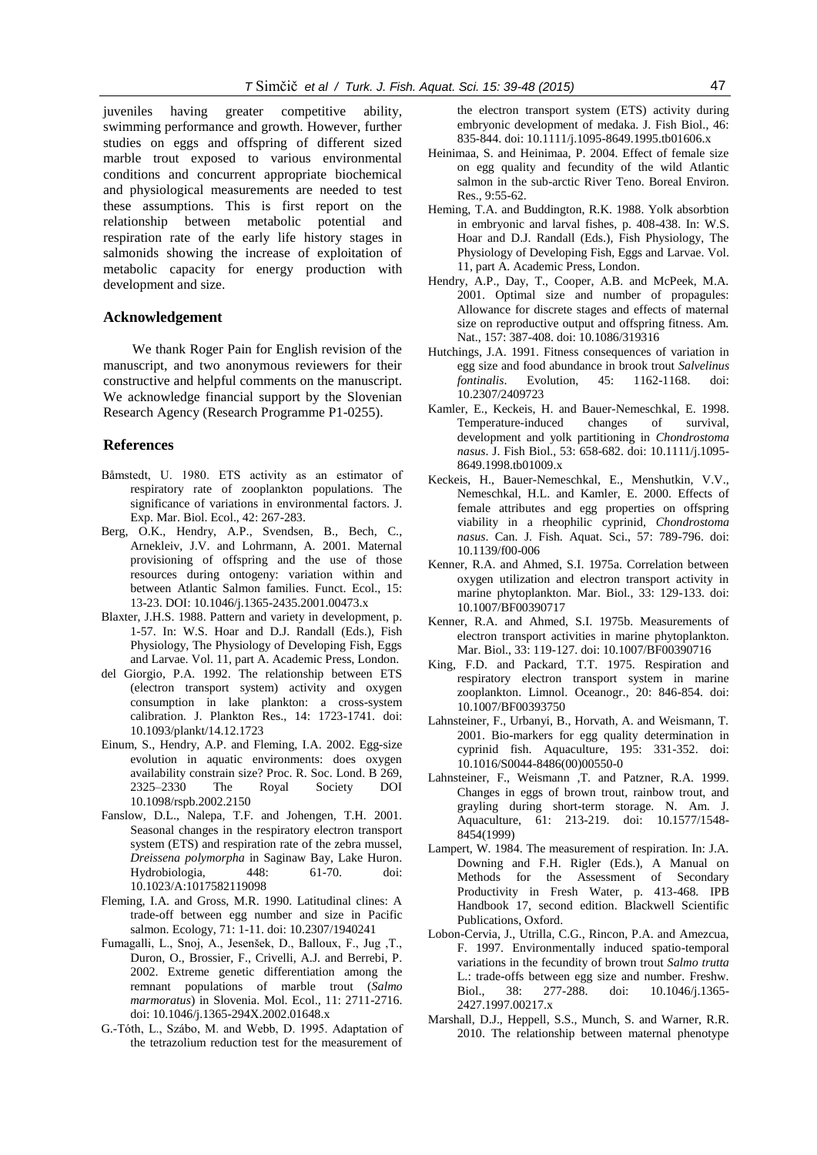juveniles having greater competitive ability, swimming performance and growth. However, further studies on eggs and offspring of different sized marble trout exposed to various environmental conditions and concurrent appropriate biochemical and physiological measurements are needed to test these assumptions. This is first report on the relationship between metabolic potential and respiration rate of the early life history stages in salmonids showing the increase of exploitation of metabolic capacity for energy production with development and size.

### **Acknowledgement**

We thank Roger Pain for English revision of the manuscript, and two anonymous reviewers for their constructive and helpful comments on the manuscript. We acknowledge financial support by the Slovenian Research Agency (Research Programme P1-0255).

### **References**

- Båmstedt, U. 1980. ETS activity as an estimator of respiratory rate of zooplankton populations. The significance of variations in environmental factors. J. Exp. Mar. Biol. Ecol., 42: 267-283.
- Berg, O.K., Hendry, A.P., Svendsen, B., Bech, C., Arnekleiv, J.V. and Lohrmann, A. 2001. Maternal provisioning of offspring and the use of those resources during ontogeny: variation within and between Atlantic Salmon families. Funct. Ecol., 15: 13-23. DOI: 10.1046/j.1365-2435.2001.00473.x
- Blaxter, J.H.S. 1988. Pattern and variety in development, p. 1-57. In: W.S. Hoar and D.J. Randall (Eds.), Fish Physiology, The Physiology of Developing Fish, Eggs and Larvae. Vol. 11, part A. Academic Press, London.
- del Giorgio, P.A. 1992. The relationship between ETS (electron transport system) activity and oxygen consumption in lake plankton: a cross-system calibration. J. Plankton Res., 14: 1723-1741. doi: 10.1093/plankt/14.12.1723
- Einum, S., Hendry, A.P. and Fleming, I.A. 2002. Egg-size evolution in aquatic environments: does oxygen availability constrain size? Proc. R. Soc. Lond. B 269, 2325–2330 The Royal Society DOI 10.1098/rspb.2002.2150
- Fanslow, D.L., Nalepa, T.F. and Johengen, T.H. 2001. Seasonal changes in the respiratory electron transport system (ETS) and respiration rate of the zebra mussel, *Dreissena polymorpha* in Saginaw Bay, Lake Huron. Hydrobiologia, 448: 61-70. doi: 10.1023/A:1017582119098
- Fleming, I.A. and Gross, M.R. 1990. Latitudinal clines: A trade-off between egg number and size in Pacific salmon. Ecology, 71: 1-11. doi: 10.2307/1940241
- Fumagalli, L., Snoj, A., Jesenšek, D., Balloux, F., Jug ,T., Duron, O., Brossier, F., Crivelli, A.J. and Berrebi, P. 2002. Extreme genetic differentiation among the remnant populations of marble trout (*Salmo marmoratus*) in Slovenia. Mol. Ecol., 11: 2711-2716. doi: 10.1046/j.1365-294X.2002.01648.x
- G.-Tóth, L., Szábo, M. and Webb, D. 1995. Adaptation of the tetrazolium reduction test for the measurement of

the electron transport system (ETS) activity during embryonic development of medaka. J. Fish Biol., 46: 835-844. doi: 10.1111/j.1095-8649.1995.tb01606.x

- Heinimaa, S. and Heinimaa, P. 2004. Effect of female size on egg quality and fecundity of the wild Atlantic salmon in the sub-arctic River Teno. Boreal Environ. Res., 9:55-62.
- Heming, T.A. and Buddington, R.K. 1988. Yolk absorbtion in embryonic and larval fishes, p. 408-438. In: W.S. Hoar and D.J. Randall (Eds.), Fish Physiology, The Physiology of Developing Fish, Eggs and Larvae. Vol. 11, part A. Academic Press, London.
- Hendry, A.P., Day, T., Cooper, A.B. and McPeek, M.A. 2001. Optimal size and number of propagules: Allowance for discrete stages and effects of maternal size on reproductive output and offspring fitness. Am. Nat., 157: 387-408. doi: 10.1086/319316
- Hutchings, J.A. 1991. Fitness consequences of variation in egg size and food abundance in brook trout *Salvelinus fontinalis*. Evolution, 45: 1162-1168. doi: 10.2307/2409723
- Kamler, E., Keckeis, H. and Bauer-Nemeschkal, E. 1998. Temperature-induced changes of survival, development and yolk partitioning in *Chondrostoma nasus*. J. Fish Biol., 53: 658-682. doi: 10.1111/j.1095- 8649.1998.tb01009.x
- Keckeis, H., Bauer-Nemeschkal, E., Menshutkin, V.V., Nemeschkal, H.L. and Kamler, E. 2000. Effects of female attributes and egg properties on offspring viability in a rheophilic cyprinid, *Chondrostoma nasus*. Can. J. Fish. Aquat. Sci., 57: 789-796. doi: 10.1139/f00-006
- Kenner, R.A. and Ahmed, S.I. 1975a. Correlation between oxygen utilization and electron transport activity in marine phytoplankton. Mar. Biol., 33: 129-133. doi: 10.1007/BF00390717
- Kenner, R.A. and Ahmed, S.I. 1975b. Measurements of electron transport activities in marine phytoplankton. Mar. Biol., 33: 119-127. doi: 10.1007/BF00390716
- King, F.D. and Packard, T.T. 1975. Respiration and respiratory electron transport system in marine zooplankton. Limnol. Oceanogr., 20: 846-854. doi: 10.1007/BF00393750
- Lahnsteiner, F., Urbanyi, B., Horvath, A. and Weismann, T. 2001. Bio-markers for egg quality determination in cyprinid fish. Aquaculture, 195: 331-352. doi: 10.1016/S0044-8486(00)00550-0
- Lahnsteiner, F., Weismann ,T. and Patzner, R.A. 1999. Changes in eggs of brown trout, rainbow trout, and grayling during short-term storage. N. Am. J. Aquaculture, 61: 213-219. doi: 10.1577/1548- 8454(1999)
- Lampert, W. 1984. The measurement of respiration. In: J.A. Downing and F.H. Rigler (Eds.), A Manual on Methods for the Assessment of Secondary Productivity in Fresh Water, p. 413-468. IPB Handbook 17, second edition. Blackwell Scientific Publications, Oxford.
- Lobon-Cervia, J., Utrilla, C.G., Rincon, P.A. and Amezcua, F. 1997. Environmentally induced spatio-temporal variations in the fecundity of brown trout *Salmo trutta* L.: trade-offs between egg size and number. Freshw. Biol., 38: 277-288. doi: 10.1046/j.1365- 2427.1997.00217.x
- Marshall, D.J., Heppell, S.S., Munch, S. and Warner, R.R. 2010. The relationship between maternal phenotype